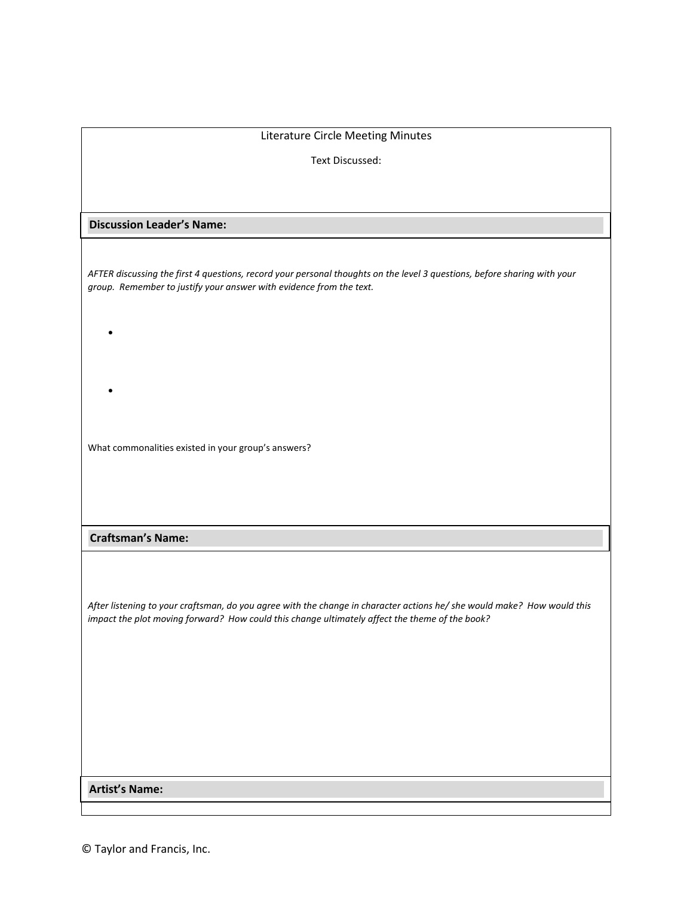| Literature Circle Meeting Minutes                                                                                        |
|--------------------------------------------------------------------------------------------------------------------------|
|                                                                                                                          |
| Text Discussed:                                                                                                          |
|                                                                                                                          |
|                                                                                                                          |
| <b>Discussion Leader's Name:</b>                                                                                         |
|                                                                                                                          |
| AFTER discussing the first 4 questions, record your personal thoughts on the level 3 questions, before sharing with your |
| group. Remember to justify your answer with evidence from the text.                                                      |
|                                                                                                                          |
|                                                                                                                          |
|                                                                                                                          |
|                                                                                                                          |
|                                                                                                                          |
|                                                                                                                          |
|                                                                                                                          |
| What commonalities existed in your group's answers?                                                                      |
|                                                                                                                          |
|                                                                                                                          |
|                                                                                                                          |
|                                                                                                                          |
| <b>Craftsman's Name:</b>                                                                                                 |
|                                                                                                                          |
|                                                                                                                          |
| After listening to your craftsman, do you agree with the change in character actions he/ she would make? How would this  |
| impact the plot moving forward? How could this change ultimately affect the theme of the book?                           |
|                                                                                                                          |
|                                                                                                                          |
|                                                                                                                          |
|                                                                                                                          |
|                                                                                                                          |
|                                                                                                                          |
|                                                                                                                          |
|                                                                                                                          |
| <b>Artist's Name:</b>                                                                                                    |
|                                                                                                                          |

© Taylor and Francis, Inc.